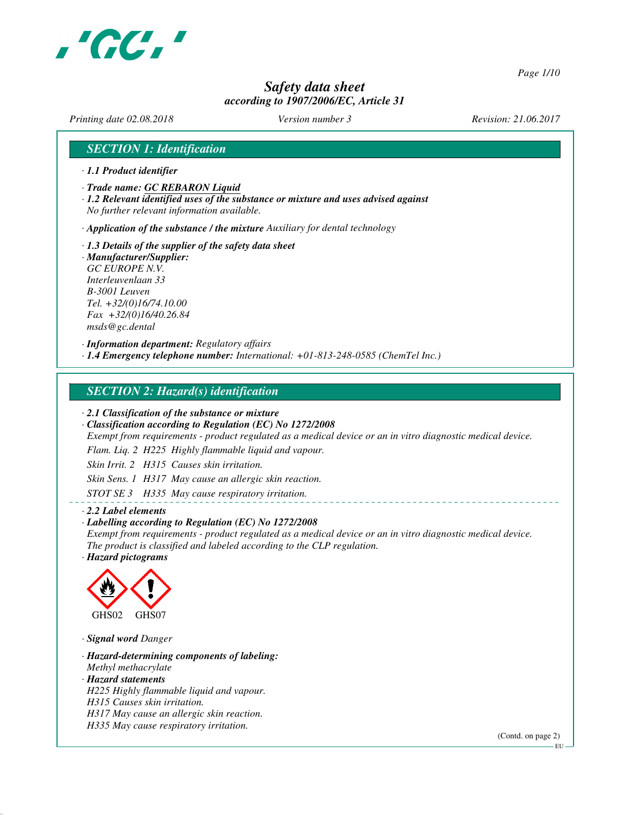

*Page 1/10*

# *Safety data sheet according to 1907/2006/EC, Article 31*

*Printing date 02.08.2018 Version number 3 Revision: 21.06.2017*

# *SECTION 1: Identification*

- *· 1.1 Product identifier*
- *· Trade name: GC REBARON Liquid*
- *· 1.2 Relevant identified uses of the substance or mixture and uses advised against No further relevant information available.*

*· Application of the substance / the mixture Auxiliary for dental technology*

*· 1.3 Details of the supplier of the safety data sheet · Manufacturer/Supplier: GC EUROPE N.V. Interleuvenlaan 33 B-3001 Leuven Tel. +32/(0)16/74.10.00 Fax +32/(0)16/40.26.84*

*msds@gc.dental*

*· Information department: Regulatory affairs*

*· 1.4 Emergency telephone number: International: +01-813-248-0585 (ChemTel Inc.)*

# *SECTION 2: Hazard(s) identification*

*· 2.1 Classification of the substance or mixture*

*· Classification according to Regulation (EC) No 1272/2008*

*Exempt from requirements - product regulated as a medical device or an in vitro diagnostic medical device.*

*Flam. Liq. 2 H225 Highly flammable liquid and vapour.*

*Skin Irrit. 2 H315 Causes skin irritation.*

*Skin Sens. 1 H317 May cause an allergic skin reaction.*

*STOT SE 3 H335 May cause respiratory irritation.*

#### *· 2.2 Label elements*

#### *· Labelling according to Regulation (EC) No 1272/2008*

*Exempt from requirements - product regulated as a medical device or an in vitro diagnostic medical device. The product is classified and labeled according to the CLP regulation.*

*· Hazard pictograms*



*· Signal word Danger*

*· Hazard-determining components of labeling: Methyl methacrylate · Hazard statements H225 Highly flammable liquid and vapour. H315 Causes skin irritation. H317 May cause an allergic skin reaction. H335 May cause respiratory irritation.*

(Contd. on page 2)

 $-EU$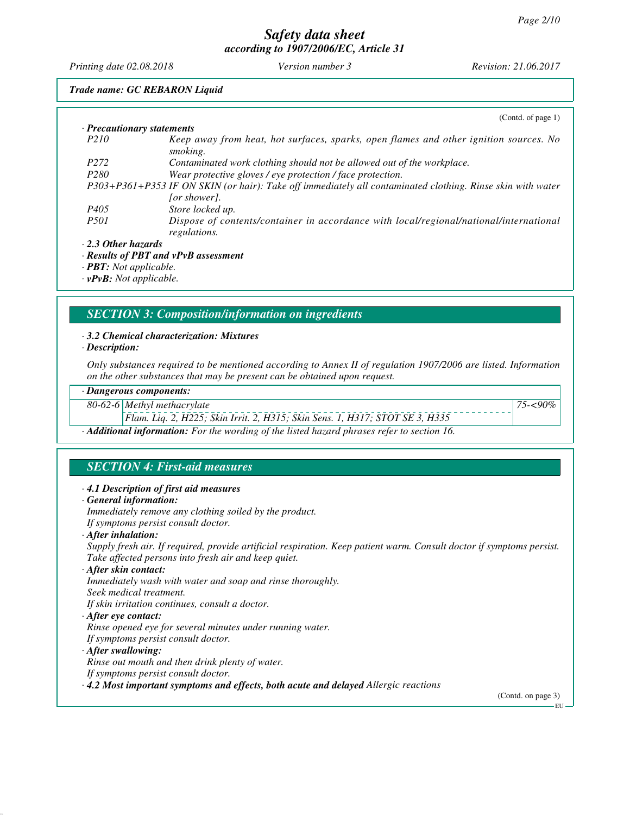*Printing date 02.08.2018 Version number 3 Revision: 21.06.2017*

*Trade name: GC REBARON Liquid*

|                                      | (Contd. of page 1)                                                                                         |
|--------------------------------------|------------------------------------------------------------------------------------------------------------|
| $\cdot$ Precautionary statements     |                                                                                                            |
| P <sub>210</sub>                     | Keep away from heat, hot surfaces, sparks, open flames and other ignition sources. No<br>smoking.          |
| P <sub>272</sub>                     | Contaminated work clothing should not be allowed out of the workplace.                                     |
| P <sub>280</sub>                     | Wear protective gloves / eye protection / face protection.                                                 |
|                                      | P303+P361+P353 IF ON SKIN (or hair): Take off immediately all contaminated clothing. Rinse skin with water |
|                                      | <i>for showerl.</i>                                                                                        |
| P <sub>405</sub>                     | Store locked up.                                                                                           |
| <i>P501</i>                          | Dispose of contents/container in accordance with local/regional/national/international<br>regulations.     |
| $\cdot$ 2.3 Other hazards            |                                                                                                            |
|                                      | $\cdot$ Results of PBT and vPvB assessment                                                                 |
| $\cdot$ <b>PBT</b> : Not applicable. |                                                                                                            |

*· vPvB: Not applicable.*

# *SECTION 3: Composition/information on ingredients*

#### *· 3.2 Chemical characterization: Mixtures*

*· Description:*

*Only substances required to be mentioned according to Annex II of regulation 1907/2006 are listed. Information on the other substances that may be present can be obtained upon request.*

#### *· Dangerous components:*

*80-62-6 Methyl methacrylate*

*Flam. Liq. 2, H225; Skin Irrit. 2, H315; Skin Sens. 1, H317; STOT SE 3, H335*

*· Additional information: For the wording of the listed hazard phrases refer to section 16.*

# *SECTION 4: First-aid measures*

#### *· 4.1 Description of first aid measures*

*· General information:*

*Immediately remove any clothing soiled by the product.*

*If symptoms persist consult doctor.*

*· After inhalation:*

*Supply fresh air. If required, provide artificial respiration. Keep patient warm. Consult doctor if symptoms persist. Take affected persons into fresh air and keep quiet.*

*· After skin contact:*

*Immediately wash with water and soap and rinse thoroughly. Seek medical treatment. If skin irritation continues, consult a doctor.*

*· After eye contact:*

*Rinse opened eye for several minutes under running water.*

*If symptoms persist consult doctor.*

### *· After swallowing:*

*Rinse out mouth and then drink plenty of water.*

*If symptoms persist consult doctor.*

*· 4.2 Most important symptoms and effects, both acute and delayed Allergic reactions*

(Contd. on page 3)

EU

*75-<90%*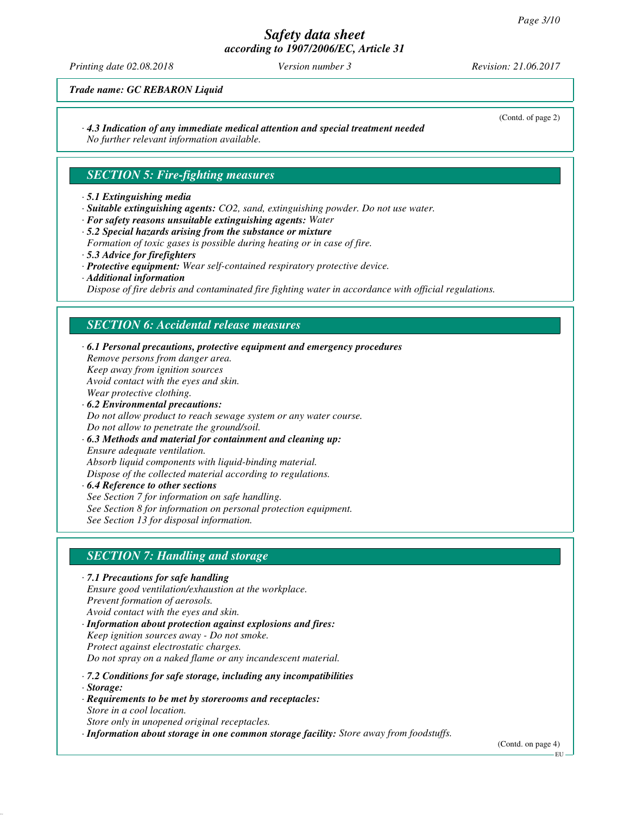# *Safety data sheet*

*according to 1907/2006/EC, Article 31*

*Printing date 02.08.2018 Version number 3 Revision: 21.06.2017*

(Contd. of page 2)

*Trade name: GC REBARON Liquid*

*· 4.3 Indication of any immediate medical attention and special treatment needed*

*No further relevant information available.*

# *SECTION 5: Fire-fighting measures*

#### *· 5.1 Extinguishing media*

- *· Suitable extinguishing agents: CO2, sand, extinguishing powder. Do not use water.*
- *· For safety reasons unsuitable extinguishing agents: Water*
- *· 5.2 Special hazards arising from the substance or mixture Formation of toxic gases is possible during heating or in case of fire. · 5.3 Advice for firefighters*
- *· Protective equipment: Wear self-contained respiratory protective device.*
- *· Additional information*

*Dispose of fire debris and contaminated fire fighting water in accordance with official regulations.*

# *SECTION 6: Accidental release measures*

*· 6.1 Personal precautions, protective equipment and emergency procedures Remove persons from danger area. Keep away from ignition sources Avoid contact with the eyes and skin. Wear protective clothing. · 6.2 Environmental precautions: Do not allow product to reach sewage system or any water course. Do not allow to penetrate the ground/soil. · 6.3 Methods and material for containment and cleaning up:*

*Ensure adequate ventilation. Absorb liquid components with liquid-binding material. Dispose of the collected material according to regulations.*

*· 6.4 Reference to other sections See Section 7 for information on safe handling. See Section 8 for information on personal protection equipment. See Section 13 for disposal information.*

# *SECTION 7: Handling and storage*

- *· 7.1 Precautions for safe handling Ensure good ventilation/exhaustion at the workplace. Prevent formation of aerosols. Avoid contact with the eyes and skin.*
- *· Information about protection against explosions and fires: Keep ignition sources away - Do not smoke. Protect against electrostatic charges. Do not spray on a naked flame or any incandescent material.*
- *· 7.2 Conditions for safe storage, including any incompatibilities*
- *· Storage:*
- *· Requirements to be met by storerooms and receptacles: Store in a cool location. Store only in unopened original receptacles.*

*· Information about storage in one common storage facility: Store away from foodstuffs.*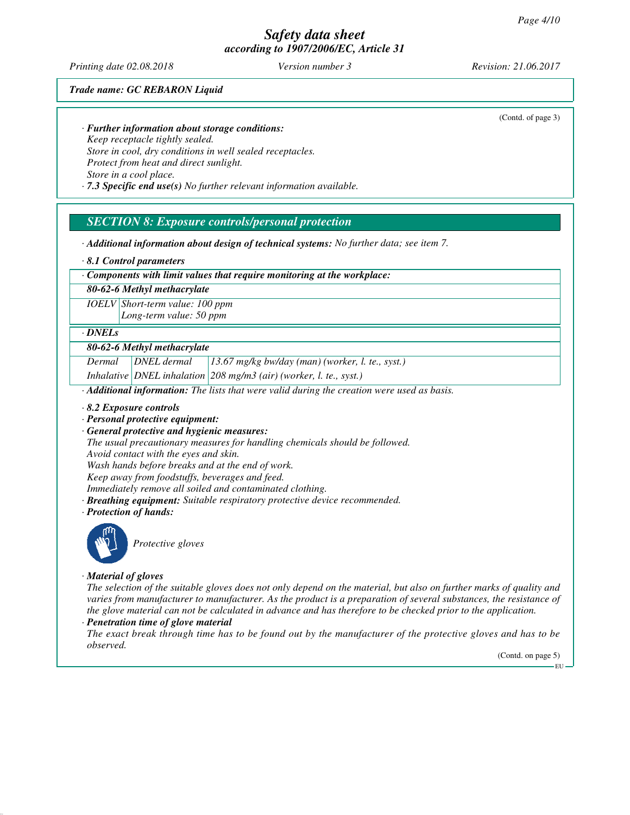*Printing date 02.08.2018 Version number 3 Revision: 21.06.2017*

(Contd. of page 3)

*Trade name: GC REBARON Liquid*

*· Further information about storage conditions:*

*Keep receptacle tightly sealed. Store in cool, dry conditions in well sealed receptacles. Protect from heat and direct sunlight. Store in a cool place.*

*· 7.3 Specific end use(s) No further relevant information available.*

# *SECTION 8: Exposure controls/personal protection*

*· Additional information about design of technical systems: No further data; see item 7.*

*· 8.1 Control parameters*

*· Components with limit values that require monitoring at the workplace:*

*80-62-6 Methyl methacrylate*

*IOELV Short-term value: 100 ppm Long-term value: 50 ppm*

#### *· DNELs*

#### *80-62-6 Methyl methacrylate*

*Dermal DNEL dermal 13.67 mg/kg bw/day (man) (worker, l. te., syst.)*

*Inhalative DNEL inhalation 208 mg/m3 (air) (worker, l. te., syst.)*

*· Additional information: The lists that were valid during the creation were used as basis.*

*· 8.2 Exposure controls*

- *· Personal protective equipment:*
- *· General protective and hygienic measures:*

*The usual precautionary measures for handling chemicals should be followed. Avoid contact with the eyes and skin.*

*Wash hands before breaks and at the end of work.*

*Keep away from foodstuffs, beverages and feed.*

*Immediately remove all soiled and contaminated clothing.*

- *· Breathing equipment: Suitable respiratory protective device recommended.*
- *· Protection of hands:*



*Protective gloves*

*· Material of gloves*

*The selection of the suitable gloves does not only depend on the material, but also on further marks of quality and varies from manufacturer to manufacturer. As the product is a preparation of several substances, the resistance of the glove material can not be calculated in advance and has therefore to be checked prior to the application.*

### *· Penetration time of glove material*

*The exact break through time has to be found out by the manufacturer of the protective gloves and has to be observed.*

(Contd. on page 5)

EU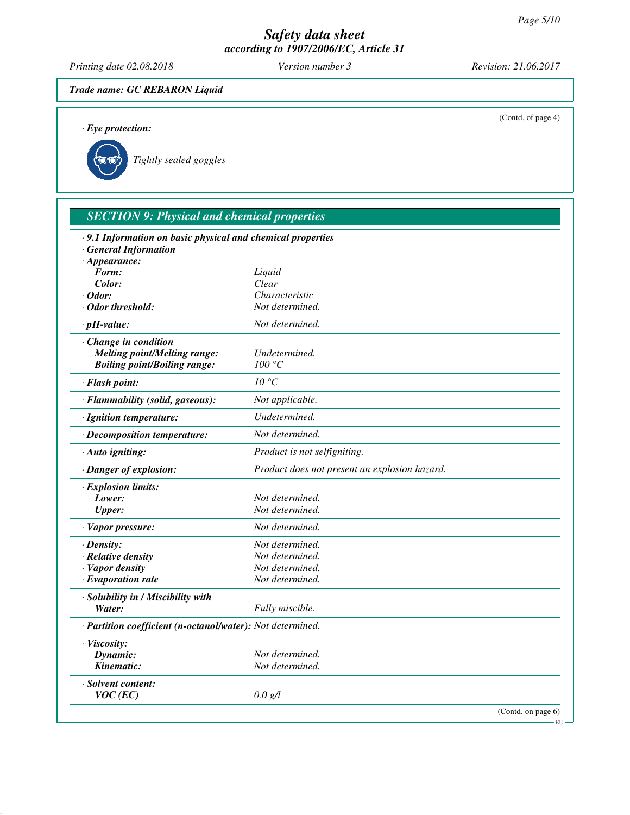*Printing date 02.08.2018 Version number 3 Revision: 21.06.2017*

*Trade name: GC REBARON Liquid*

| $\cdot$ Eye protection:                                     |                                               | (Contd. of page 4) |
|-------------------------------------------------------------|-----------------------------------------------|--------------------|
| Tightly sealed goggles                                      |                                               |                    |
| <b>SECTION 9: Physical and chemical properties</b>          |                                               |                    |
| · 9.1 Information on basic physical and chemical properties |                                               |                    |
| <b>General Information</b>                                  |                                               |                    |
| $\cdot$ Appearance:                                         |                                               |                    |
| Form:<br>Color:                                             | Liquid<br>Clear                               |                    |
| $\cdot$ Odor:                                               | Characteristic                                |                    |
| · Odor threshold:                                           | Not determined.                               |                    |
|                                                             |                                               |                    |
| $\cdot$ pH-value:                                           | Not determined.                               |                    |
| Change in condition                                         |                                               |                    |
| <b>Melting point/Melting range:</b>                         | Undetermined.                                 |                    |
| <b>Boiling point/Boiling range:</b>                         | 100 °C                                        |                    |
| · Flash point:                                              | $10^{\circ}C$                                 |                    |
| · Flammability (solid, gaseous):                            | Not applicable.                               |                    |
| · Ignition temperature:                                     | Undetermined.                                 |                    |
| · Decomposition temperature:                                | Not determined.                               |                    |
| · Auto igniting:                                            | Product is not selfigniting.                  |                    |
| · Danger of explosion:                                      | Product does not present an explosion hazard. |                    |
| $\cdot$ Explosion limits:                                   |                                               |                    |
| Lower:                                                      | Not determined.                               |                    |
| <b>Upper:</b>                                               | Not determined.                               |                    |
| · Vapor pressure:                                           | Not determined.                               |                    |
| $\cdot$ Density:                                            | Not determined.                               |                    |
| · Relative density                                          | Not determined.                               |                    |
| Vapor density                                               | Not determined.                               |                    |
| $\cdot$ Evaporation rate                                    | Not determined.                               |                    |
| · Solubility in / Miscibility with                          |                                               |                    |
| Water:                                                      | Fully miscible.                               |                    |
| · Partition coefficient (n-octanol/water): Not determined.  |                                               |                    |
| · Viscosity:                                                |                                               |                    |
| Dynamic:                                                    | Not determined.                               |                    |
| Kinematic:                                                  | Not determined.                               |                    |
| · Solvent content:                                          |                                               |                    |
| $VOC$ (EC)                                                  | 0.0 g/l                                       |                    |

(Contd. on page 6)  $-EU -$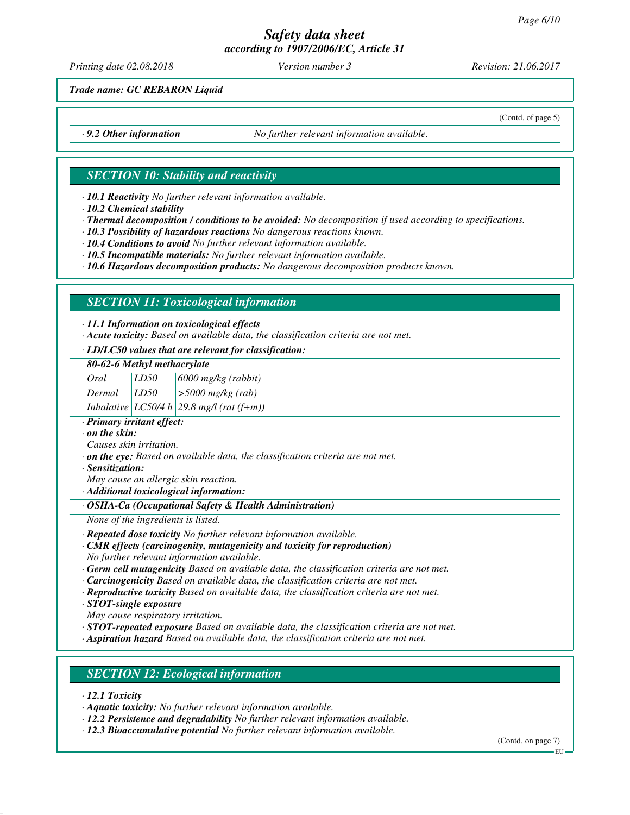*Printing date 02.08.2018 Version number 3 Revision: 21.06.2017*

(Contd. of page 5)

*Trade name: GC REBARON Liquid*

*· 9.2 Other information No further relevant information available.*

# *SECTION 10: Stability and reactivity*

*· 10.1 Reactivity No further relevant information available.*

*· 10.2 Chemical stability*

*· Thermal decomposition / conditions to be avoided: No decomposition if used according to specifications.*

*· 10.3 Possibility of hazardous reactions No dangerous reactions known.*

*· 10.4 Conditions to avoid No further relevant information available.*

*· 10.5 Incompatible materials: No further relevant information available.*

*· 10.6 Hazardous decomposition products: No dangerous decomposition products known.*

# *SECTION 11: Toxicological information*

#### *· 11.1 Information on toxicological effects*

*· Acute toxicity: Based on available data, the classification criteria are not met.*

#### *· LD/LC50 values that are relevant for classification:*

|  |  | 80-62-6 Methyl methacrylate |
|--|--|-----------------------------|
|--|--|-----------------------------|

*Oral LD50 6000 mg/kg (rabbit)*

*Dermal LD50 >5000 mg/kg (rab)*

*Inhalative LC50/4 h 29.8 mg/l (rat (f+m))*

*· Primary irritant effect:*

*· on the skin:*

*Causes skin irritation.*

*· on the eye: Based on available data, the classification criteria are not met.*

*· Sensitization:*

*May cause an allergic skin reaction.*

*· Additional toxicological information:*

#### *· OSHA-Ca (Occupational Safety & Health Administration)*

*None of the ingredients is listed.*

*· Repeated dose toxicity No further relevant information available.*

#### *· CMR effects (carcinogenity, mutagenicity and toxicity for reproduction) No further relevant information available.*

*· Germ cell mutagenicity Based on available data, the classification criteria are not met.*

*· Carcinogenicity Based on available data, the classification criteria are not met.*

*· Reproductive toxicity Based on available data, the classification criteria are not met.*

*· STOT-single exposure*

*May cause respiratory irritation.*

*· STOT-repeated exposure Based on available data, the classification criteria are not met.*

*· Aspiration hazard Based on available data, the classification criteria are not met.*

# *SECTION 12: Ecological information*

*· 12.1 Toxicity*

*· Aquatic toxicity: No further relevant information available.*

*· 12.2 Persistence and degradability No further relevant information available.*

*· 12.3 Bioaccumulative potential No further relevant information available.*

(Contd. on page 7)

EU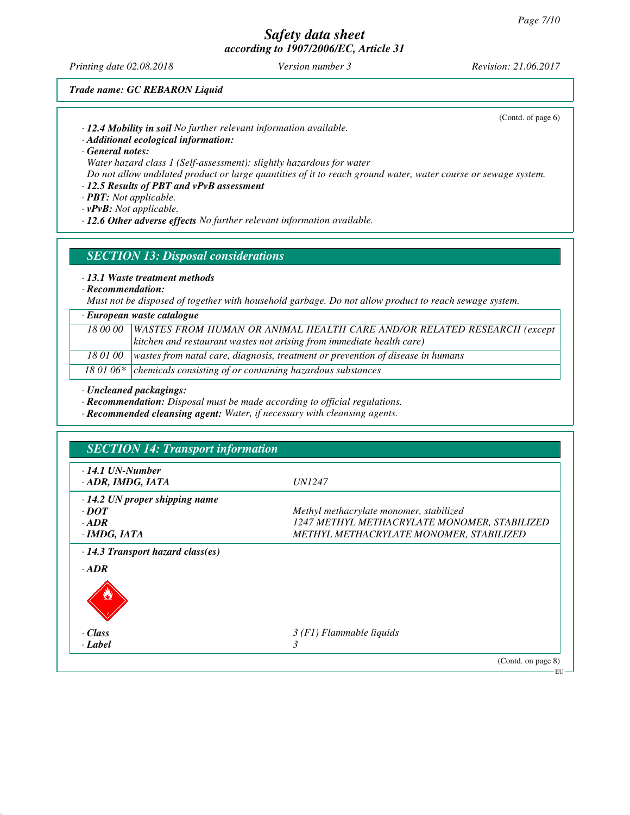*Printing date 02.08.2018 Version number 3 Revision: 21.06.2017*

(Contd. of page 6)

*Trade name: GC REBARON Liquid*

*· 12.4 Mobility in soil No further relevant information available.*

*· Additional ecological information:*

*· General notes:*

*Water hazard class 1 (Self-assessment): slightly hazardous for water*

*Do not allow undiluted product or large quantities of it to reach ground water, water course or sewage system.*

# *· 12.5 Results of PBT and vPvB assessment*

*· PBT: Not applicable.*

*· vPvB: Not applicable.*

*· 12.6 Other adverse effects No further relevant information available.*

*SECTION 13: Disposal considerations*

*· 13.1 Waste treatment methods*

*· Recommendation:*

*Must not be disposed of together with household garbage. Do not allow product to reach sewage system.*

#### *· European waste catalogue*

*18 00 00 WASTES FROM HUMAN OR ANIMAL HEALTH CARE AND/OR RELATED RESEARCH (except kitchen and restaurant wastes not arising from immediate health care)*

*18 01 00 wastes from natal care, diagnosis, treatment or prevention of disease in humans*

18 01 06\* chemicals consisting of or containing hazardous substances

*· Uncleaned packagings:*

*· Recommendation: Disposal must be made according to official regulations.*

*· Recommended cleansing agent: Water, if necessary with cleansing agents.*

| $\cdot$ 14.1 UN-Number<br>· ADR, IMDG, IATA | <i>UN1247</i>                                |
|---------------------------------------------|----------------------------------------------|
| $\cdot$ 14.2 UN proper shipping name        |                                              |
| $\cdot$ DOT                                 | Methyl methacrylate monomer, stabilized      |
| $\cdot$ ADR                                 | 1247 METHYL METHACRYLATE MONOMER, STABILIZED |
| $\cdot$ IMDG, IATA                          | METHYL METHACRYLATE MONOMER, STABILIZED      |
| · Class                                     | $3(F1)$ Flammable liquids                    |
|                                             | 3                                            |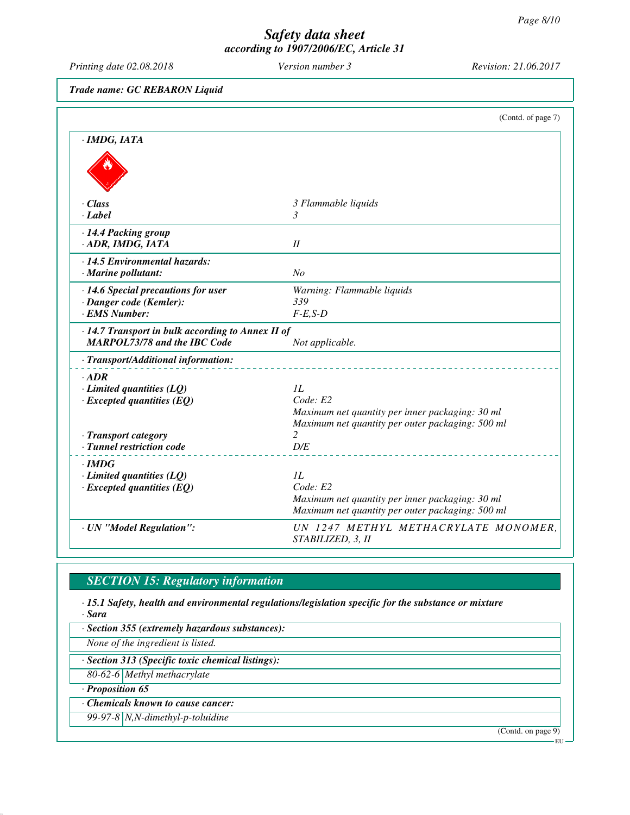*Printing date 02.08.2018 Version number 3 Revision: 21.06.2017*

*Trade name: GC REBARON Liquid*

|                                                   | (Contd. of page 7)                                    |
|---------------------------------------------------|-------------------------------------------------------|
| $\cdot$ IMDG, IATA                                |                                                       |
|                                                   |                                                       |
| $\cdot$ Class                                     | 3 Flammable liquids                                   |
| $\cdot$ <i>Label</i>                              | 3                                                     |
| · 14.4 Packing group                              |                                                       |
| · ADR, IMDG, IATA                                 | II                                                    |
| $\cdot$ 14.5 Environmental hazards:               |                                                       |
| $\cdot$ Marine pollutant:                         | No                                                    |
| · 14.6 Special precautions for user               | Warning: Flammable liquids                            |
| · Danger code (Kemler):                           | 339                                                   |
| · EMS Number:                                     | $F-E$ , $S-D$                                         |
| · 14.7 Transport in bulk according to Annex II of |                                                       |
| <b>MARPOL73/78 and the IBC Code</b>               | Not applicable.                                       |
| · Transport/Additional information:               |                                                       |
| $\cdot$ ADR                                       |                                                       |
| $\cdot$ Limited quantities (LQ)                   | IL                                                    |
| $\cdot$ Excepted quantities (EQ)                  | Code: E2                                              |
|                                                   | Maximum net quantity per inner packaging: 30 ml       |
| · Transport category                              | Maximum net quantity per outer packaging: 500 ml<br>2 |
| · Tunnel restriction code                         | D/E                                                   |
|                                                   |                                                       |
| $\cdot$ IMDG<br>$\cdot$ Limited quantities (LQ)   | II.                                                   |
| $\cdot$ Excepted quantities (EQ)                  | Code: E2                                              |
|                                                   | Maximum net quantity per inner packaging: 30 ml       |
|                                                   | Maximum net quantity per outer packaging: 500 ml      |
| · UN "Model Regulation":                          | UN 1247 METHYL METHACRYLATE MONOMER.                  |
|                                                   | STABILIZED, 3, II                                     |

# *SECTION 15: Regulatory information*

*· 15.1 Safety, health and environmental regulations/legislation specific for the substance or mixture · Sara*

*· Section 355 (extremely hazardous substances):*

*None of the ingredient is listed.*

*· Section 313 (Specific toxic chemical listings):*

*80-62-6 Methyl methacrylate*

*· Proposition 65*

*· Chemicals known to cause cancer:*

*99-97-8 N,N-dimethyl-p-toluidine*

(Contd. on page 9)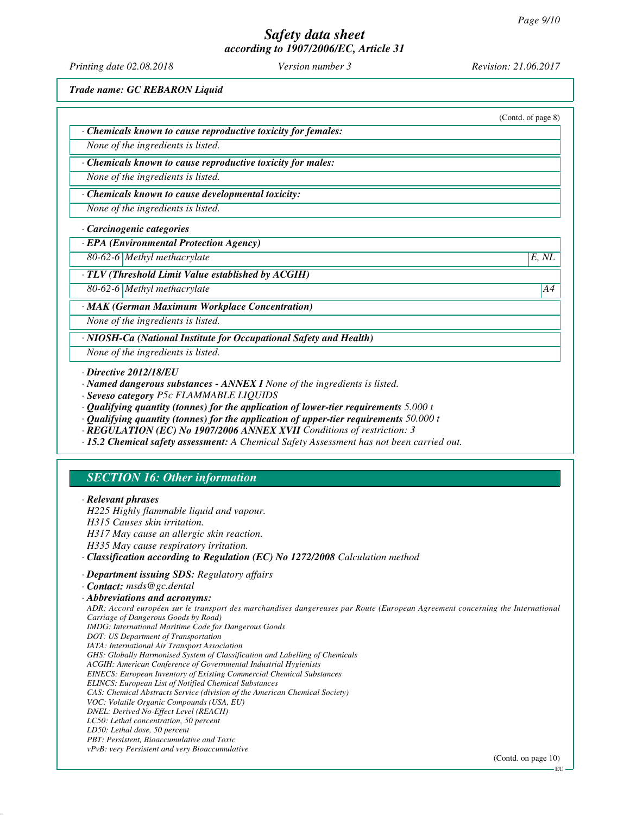*Printing date 02.08.2018 Version number 3 Revision: 21.06.2017*

*Trade name: GC REBARON Liquid*

|                                                                    | (Contd. of page 8) |
|--------------------------------------------------------------------|--------------------|
| Chemicals known to cause reproductive toxicity for females:        |                    |
| None of the ingredients is listed.                                 |                    |
| Chemicals known to cause reproductive toxicity for males:          |                    |
| None of the ingredients is listed.                                 |                    |
| Chemicals known to cause developmental toxicity:                   |                    |
| None of the ingredients is listed.                                 |                    |
| · Carcinogenic categories                                          |                    |
| <b>EPA</b> (Environmental Protection Agency)                       |                    |
| 80-62-6 Methyl methacrylate                                        | E, NL              |
| $\cdot$ TLV (Threshold Limit Value established by ACGIH)           |                    |
| 80-62-6 Methyl methacrylate                                        | A4                 |
| · MAK (German Maximum Workplace Concentration)                     |                    |
| None of the ingredients is listed.                                 |                    |
| · NIOSH-Ca (National Institute for Occupational Safety and Health) |                    |
| None of the ingredients is listed.                                 |                    |

- *· Qualifying quantity (tonnes) for the application of lower-tier requirements 5.000 t*
- *· Qualifying quantity (tonnes) for the application of upper-tier requirements 50.000 t*
- *· REGULATION (EC) No 1907/2006 ANNEX XVII Conditions of restriction: 3*
- *· 15.2 Chemical safety assessment: A Chemical Safety Assessment has not been carried out.*

# *SECTION 16: Other information*

*· Relevant phrases H225 Highly flammable liquid and vapour. H315 Causes skin irritation. H317 May cause an allergic skin reaction. H335 May cause respiratory irritation. · Classification according to Regulation (EC) No 1272/2008 Calculation method · Department issuing SDS: Regulatory affairs · Contact: msds@gc.dental · Abbreviations and acronyms: ADR: Accord européen sur le transport des marchandises dangereuses par Route (European Agreement concerning the International Carriage of Dangerous Goods by Road) IMDG: International Maritime Code for Dangerous Goods DOT: US Department of Transportation IATA: International Air Transport Association GHS: Globally Harmonised System of Classification and Labelling of Chemicals ACGIH: American Conference of Governmental Industrial Hygienists EINECS: European Inventory of Existing Commercial Chemical Substances ELINCS: European List of Notified Chemical Substances CAS: Chemical Abstracts Service (division of the American Chemical Society) VOC: Volatile Organic Compounds (USA, EU) DNEL: Derived No-Effect Level (REACH) LC50: Lethal concentration, 50 percent LD50: Lethal dose, 50 percent PBT: Persistent, Bioaccumulative and Toxic vPvB: very Persistent and very Bioaccumulative* (Contd. on page 10)